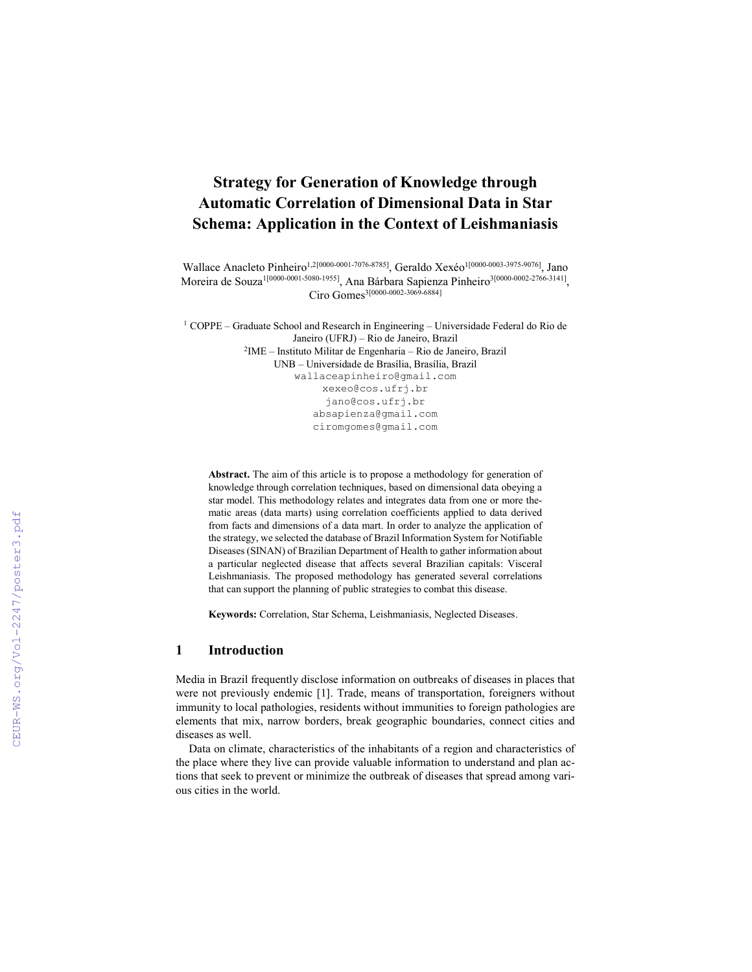# Strategy for Generation of Knowledge through Automatic Correlation of Dimensional Data in Star Schema: Application in the Context of Leishmaniasis

Wallace Anacleto Pinheiro<sup>1,2[0000-0001-7076-8785]</sup>, Geraldo Xexéo<sup>1[0000-0003-3975-9076]</sup>, Jano Moreira de Souza<sup>1[0000-0001-5080-1955]</sup>, Ana Bárbara Sapienza Pinheiro<sup>3[0000-0002-2766-3141],</sup> Ciro Gomes3[0000-0002-3069-6884]

 $1$  COPPE – Graduate School and Research in Engineering – Universidade Federal do Rio de Janeiro (UFRJ) – Rio de Janeiro, Brazil 2IME – Instituto Militar de Engenharia – Rio de Janeiro, Brazil UNB – Universidade de Brasília, Brasília, Brazil wallaceapinheiro@gmail.com xexeo@cos.ufrj.br jano@cos.ufrj.br absapienza@gmail.com ciromgomes@gmail.com

Abstract. The aim of this article is to propose a methodology for generation of knowledge through correlation techniques, based on dimensional data obeying a star model. This methodology relates and integrates data from one or more thematic areas (data marts) using correlation coefficients applied to data derived from facts and dimensions of a data mart. In order to analyze the application of the strategy, we selected the database of Brazil Information System for Notifiable Diseases(SINAN) of Brazilian Department of Health to gather information about a particular neglected disease that affects several Brazilian capitals: Visceral Leishmaniasis. The proposed methodology has generated several correlations that can support the planning of public strategies to combat this disease.

Keywords: Correlation, Star Schema, Leishmaniasis, Neglected Diseases.

### 1 Introduction

Media in Brazil frequently disclose information on outbreaks of diseases in places that were not previously endemic [1]. Trade, means of transportation, foreigners without immunity to local pathologies, residents without immunities to foreign pathologies are elements that mix, narrow borders, break geographic boundaries, connect cities and diseases as well.

Data on climate, characteristics of the inhabitants of a region and characteristics of the place where they live can provide valuable information to understand and plan actions that seek to prevent or minimize the outbreak of diseases that spread among various cities in the world.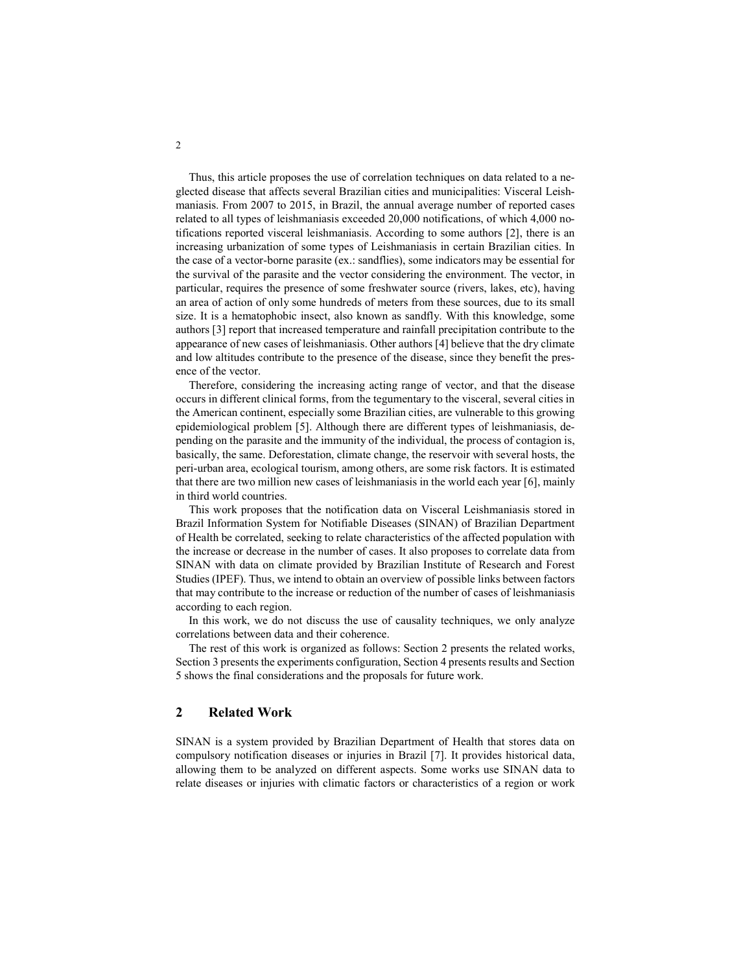Thus, this article proposes the use of correlation techniques on data related to a neglected disease that affects several Brazilian cities and municipalities: Visceral Leishmaniasis. From 2007 to 2015, in Brazil, the annual average number of reported cases related to all types of leishmaniasis exceeded 20,000 notifications, of which 4,000 notifications reported visceral leishmaniasis. According to some authors [2], there is an increasing urbanization of some types of Leishmaniasis in certain Brazilian cities. In the case of a vector-borne parasite (ex.: sandflies), some indicators may be essential for the survival of the parasite and the vector considering the environment. The vector, in particular, requires the presence of some freshwater source (rivers, lakes, etc), having an area of action of only some hundreds of meters from these sources, due to its small size. It is a hematophobic insect, also known as sandfly. With this knowledge, some authors [3] report that increased temperature and rainfall precipitation contribute to the appearance of new cases of leishmaniasis. Other authors [4] believe that the dry climate and low altitudes contribute to the presence of the disease, since they benefit the presence of the vector.

Therefore, considering the increasing acting range of vector, and that the disease occurs in different clinical forms, from the tegumentary to the visceral, several cities in the American continent, especially some Brazilian cities, are vulnerable to this growing epidemiological problem [5]. Although there are different types of leishmaniasis, depending on the parasite and the immunity of the individual, the process of contagion is, basically, the same. Deforestation, climate change, the reservoir with several hosts, the peri-urban area, ecological tourism, among others, are some risk factors. It is estimated that there are two million new cases of leishmaniasis in the world each year [6], mainly in third world countries.

This work proposes that the notification data on Visceral Leishmaniasis stored in Brazil Information System for Notifiable Diseases (SINAN) of Brazilian Department of Health be correlated, seeking to relate characteristics of the affected population with the increase or decrease in the number of cases. It also proposes to correlate data from SINAN with data on climate provided by Brazilian Institute of Research and Forest Studies (IPEF). Thus, we intend to obtain an overview of possible links between factors that may contribute to the increase or reduction of the number of cases of leishmaniasis according to each region.

In this work, we do not discuss the use of causality techniques, we only analyze correlations between data and their coherence.

The rest of this work is organized as follows: Section 2 presents the related works, Section 3 presents the experiments configuration, Section 4 presents results and Section 5 shows the final considerations and the proposals for future work.

## 2 Related Work

SINAN is a system provided by Brazilian Department of Health that stores data on compulsory notification diseases or injuries in Brazil [7]. It provides historical data, allowing them to be analyzed on different aspects. Some works use SINAN data to relate diseases or injuries with climatic factors or characteristics of a region or work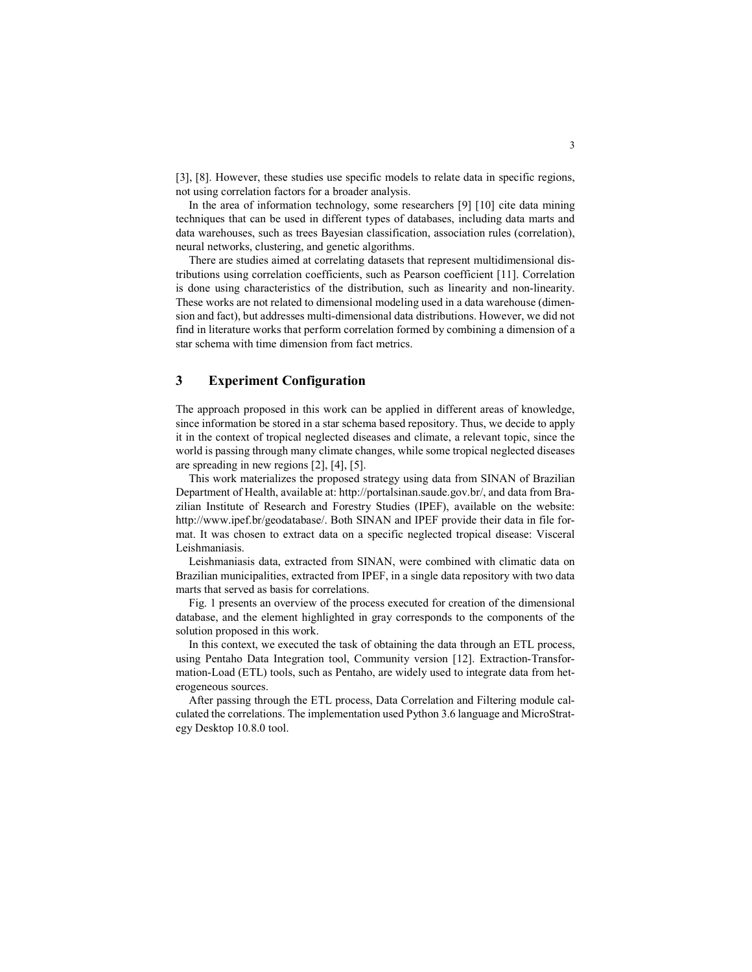[3], [8]. However, these studies use specific models to relate data in specific regions, not using correlation factors for a broader analysis.

In the area of information technology, some researchers [9] [10] cite data mining techniques that can be used in different types of databases, including data marts and data warehouses, such as trees Bayesian classification, association rules (correlation), neural networks, clustering, and genetic algorithms.

There are studies aimed at correlating datasets that represent multidimensional distributions using correlation coefficients, such as Pearson coefficient [11]. Correlation is done using characteristics of the distribution, such as linearity and non-linearity. These works are not related to dimensional modeling used in a data warehouse (dimension and fact), but addresses multi-dimensional data distributions. However, we did not find in literature works that perform correlation formed by combining a dimension of a star schema with time dimension from fact metrics.

### 3 Experiment Configuration

The approach proposed in this work can be applied in different areas of knowledge, since information be stored in a star schema based repository. Thus, we decide to apply it in the context of tropical neglected diseases and climate, a relevant topic, since the world is passing through many climate changes, while some tropical neglected diseases are spreading in new regions [2], [4], [5].

This work materializes the proposed strategy using data from SINAN of Brazilian Department of Health, available at: http://portalsinan.saude.gov.br/, and data from Brazilian Institute of Research and Forestry Studies (IPEF), available on the website: http://www.ipef.br/geodatabase/. Both SINAN and IPEF provide their data in file format. It was chosen to extract data on a specific neglected tropical disease: Visceral Leishmaniasis.

Leishmaniasis data, extracted from SINAN, were combined with climatic data on Brazilian municipalities, extracted from IPEF, in a single data repository with two data marts that served as basis for correlations.

Fig. 1 presents an overview of the process executed for creation of the dimensional database, and the element highlighted in gray corresponds to the components of the solution proposed in this work.

In this context, we executed the task of obtaining the data through an ETL process, using Pentaho Data Integration tool, Community version [12]. Extraction-Transformation-Load (ETL) tools, such as Pentaho, are widely used to integrate data from heterogeneous sources.

After passing through the ETL process, Data Correlation and Filtering module calculated the correlations. The implementation used Python 3.6 language and MicroStrategy Desktop 10.8.0 tool.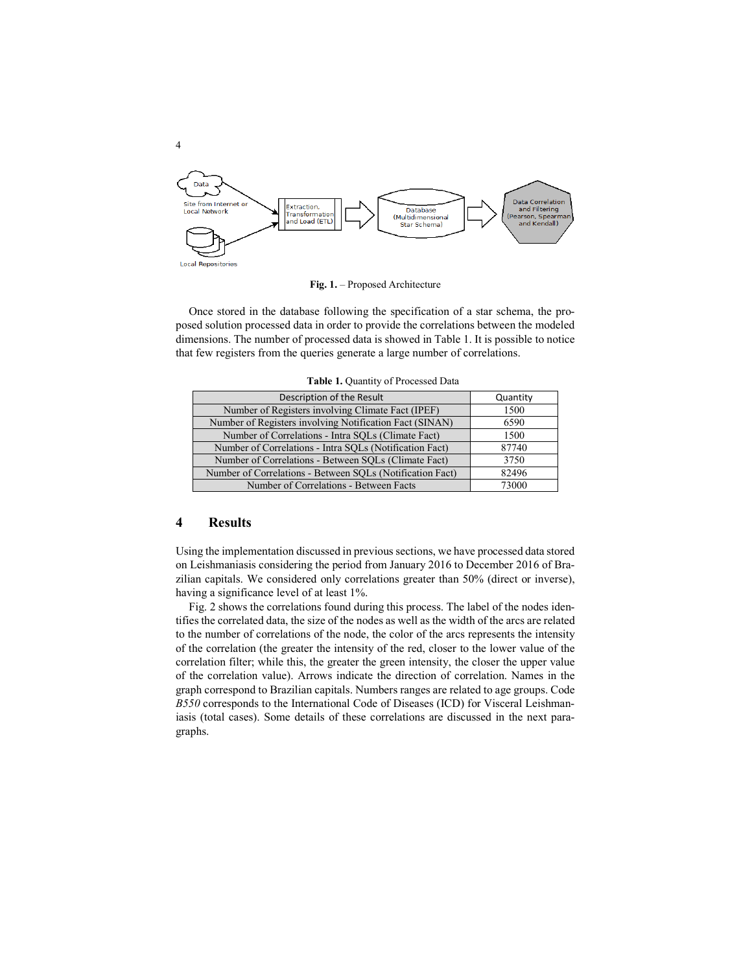

Fig. 1. – Proposed Architecture

Once stored in the database following the specification of a star schema, the proposed solution processed data in order to provide the correlations between the modeled dimensions. The number of processed data is showed in Table 1. It is possible to notice that few registers from the queries generate a large number of correlations.

| Table 1. Quantity of Processed Data          |    |
|----------------------------------------------|----|
| Description of the Result                    | Qı |
| r of Registers involving Climate Fact (IPEF) |    |

| Description of the Result                                 | Quantity |
|-----------------------------------------------------------|----------|
| Number of Registers involving Climate Fact (IPEF)         | 1500     |
| Number of Registers involving Notification Fact (SINAN)   | 6590     |
| Number of Correlations - Intra SOLs (Climate Fact)        | 1500     |
| Number of Correlations - Intra SQLs (Notification Fact)   | 87740    |
| Number of Correlations - Between SOLs (Climate Fact)      | 3750     |
| Number of Correlations - Between SQLs (Notification Fact) | 82496    |
| Number of Correlations - Between Facts                    | 73000    |

#### 4 Results

Using the implementation discussed in previous sections, we have processed data stored on Leishmaniasis considering the period from January 2016 to December 2016 of Brazilian capitals. We considered only correlations greater than 50% (direct or inverse), having a significance level of at least 1%.

Fig. 2 shows the correlations found during this process. The label of the nodes identifies the correlated data, the size of the nodes as well as the width of the arcs are related to the number of correlations of the node, the color of the arcs represents the intensity of the correlation (the greater the intensity of the red, closer to the lower value of the correlation filter; while this, the greater the green intensity, the closer the upper value of the correlation value). Arrows indicate the direction of correlation. Names in the graph correspond to Brazilian capitals. Numbers ranges are related to age groups. Code *B550* corresponds to the International Code of Diseases (ICD) for Visceral Leishmaniasis (total cases). Some details of these correlations are discussed in the next paragraphs.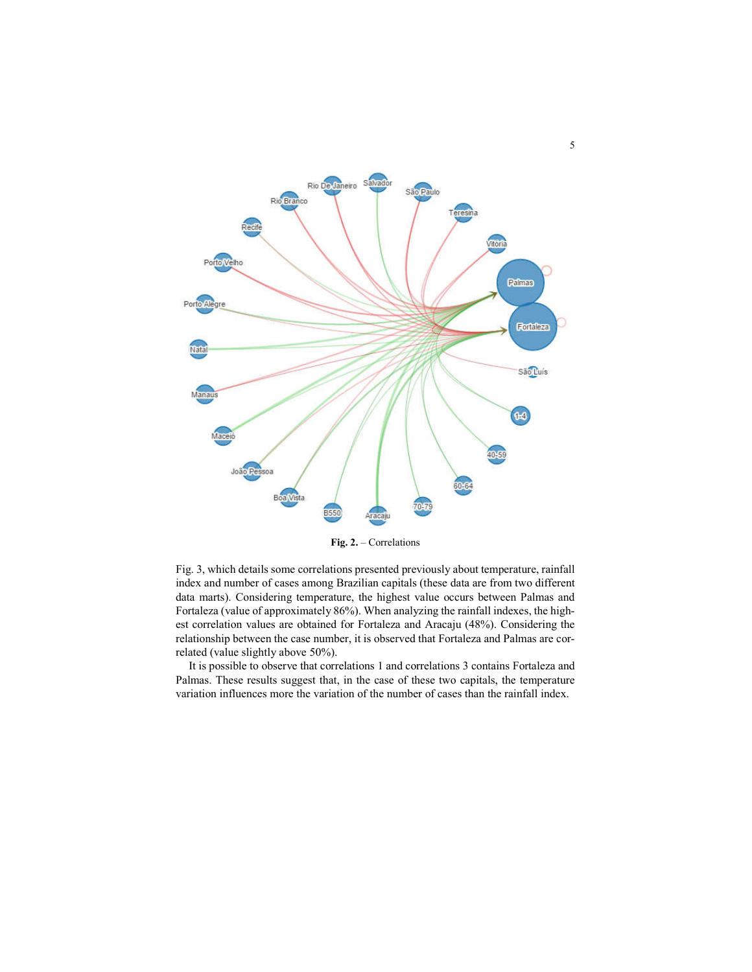

Fig. 2. – Correlations

Fig. 3, which details some correlations presented previously about temperature, rainfall index and number of cases among Brazilian capitals (these data are from two different data marts). Considering temperature, the highest value occurs between Palmas and Fortaleza (value of approximately 86%). When analyzing the rainfall indexes, the highest correlation values are obtained for Fortaleza and Aracaju (48%). Considering the relationship between the case number, it is observed that Fortaleza and Palmas are correlated (value slightly above 50%).

It is possible to observe that correlations 1 and correlations 3 contains Fortaleza and Palmas. These results suggest that, in the case of these two capitals, the temperature variation influences more the variation of the number of cases than the rainfall index.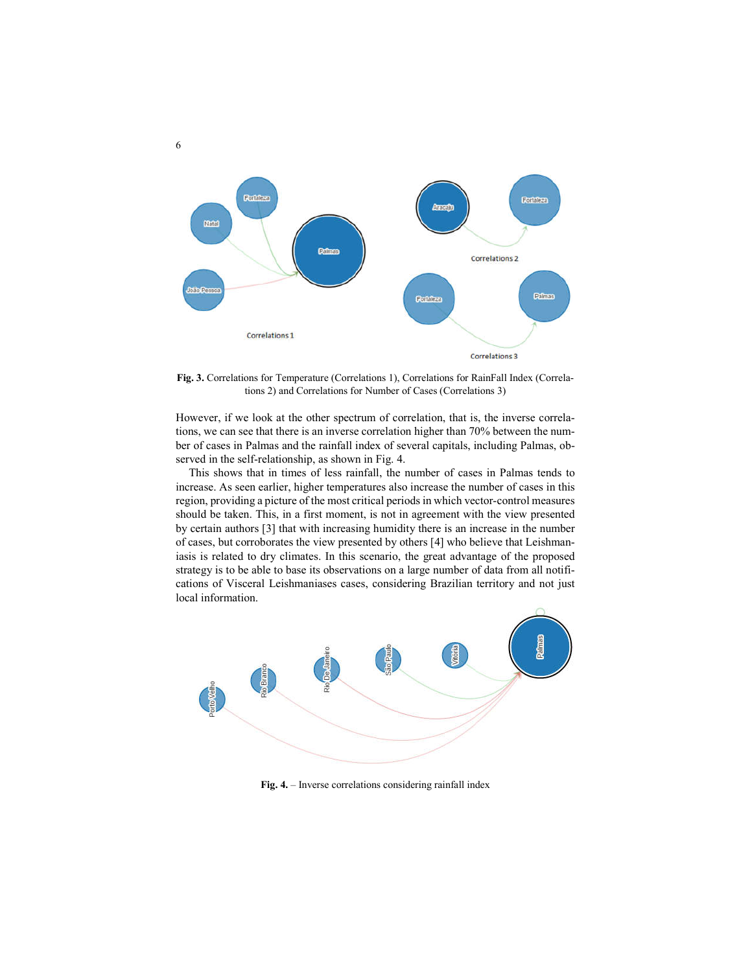

Fig. 3. Correlations for Temperature (Correlations 1), Correlations for RainFall Index (Correlations 2) and Correlations for Number of Cases (Correlations 3)

However, if we look at the other spectrum of correlation, that is, the inverse correlations, we can see that there is an inverse correlation higher than 70% between the number of cases in Palmas and the rainfall index of several capitals, including Palmas, observed in the self-relationship, as shown in Fig. 4.

This shows that in times of less rainfall, the number of cases in Palmas tends to increase. As seen earlier, higher temperatures also increase the number of cases in this region, providing a picture of the most critical periods in which vector-control measures should be taken. This, in a first moment, is not in agreement with the view presented by certain authors [3] that with increasing humidity there is an increase in the number of cases, but corroborates the view presented by others [4] who believe that Leishmaniasis is related to dry climates. In this scenario, the great advantage of the proposed strategy is to be able to base its observations on a large number of data from all notifications of Visceral Leishmaniases cases, considering Brazilian territory and not just local information.



Fig. 4. – Inverse correlations considering rainfall index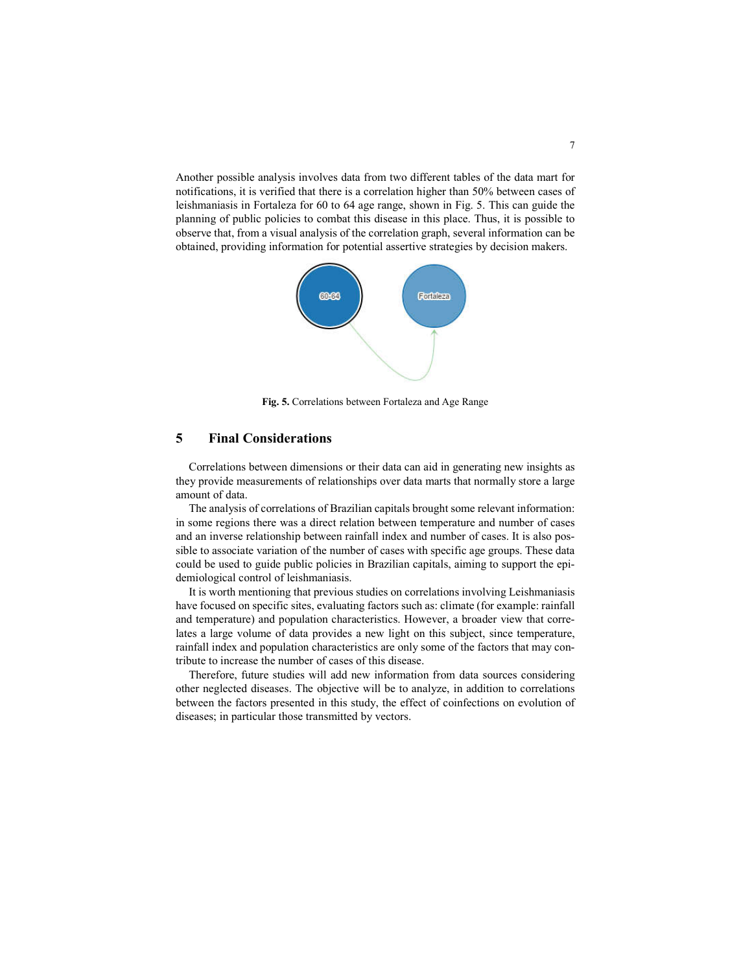Another possible analysis involves data from two different tables of the data mart for notifications, it is verified that there is a correlation higher than 50% between cases of leishmaniasis in Fortaleza for 60 to 64 age range, shown in Fig. 5. This can guide the planning of public policies to combat this disease in this place. Thus, it is possible to observe that, from a visual analysis of the correlation graph, several information can be obtained, providing information for potential assertive strategies by decision makers.



Fig. 5. Correlations between Fortaleza and Age Range

## 5 Final Considerations

Correlations between dimensions or their data can aid in generating new insights as they provide measurements of relationships over data marts that normally store a large amount of data.

The analysis of correlations of Brazilian capitals brought some relevant information: in some regions there was a direct relation between temperature and number of cases and an inverse relationship between rainfall index and number of cases. It is also possible to associate variation of the number of cases with specific age groups. These data could be used to guide public policies in Brazilian capitals, aiming to support the epidemiological control of leishmaniasis.

It is worth mentioning that previous studies on correlations involving Leishmaniasis have focused on specific sites, evaluating factors such as: climate (for example: rainfall and temperature) and population characteristics. However, a broader view that correlates a large volume of data provides a new light on this subject, since temperature, rainfall index and population characteristics are only some of the factors that may contribute to increase the number of cases of this disease.

Therefore, future studies will add new information from data sources considering other neglected diseases. The objective will be to analyze, in addition to correlations between the factors presented in this study, the effect of coinfections on evolution of diseases; in particular those transmitted by vectors.